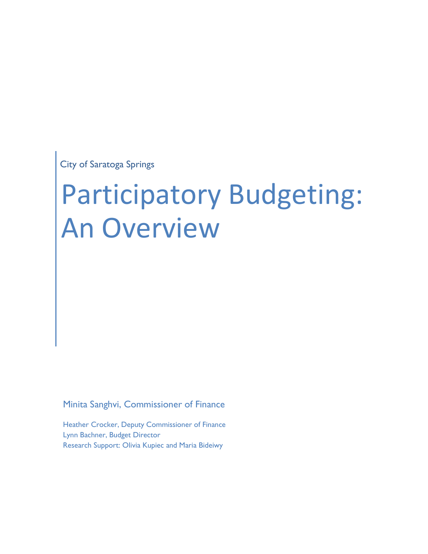City of Saratoga Springs

# Participatory Budgeting: An Overview

Minita Sanghvi, Commissioner of Finance

Heather Crocker, Deputy Commissioner of Finance Lynn Bachner, Budget Director Research Support: Olivia Kupiec and Maria Bideiwy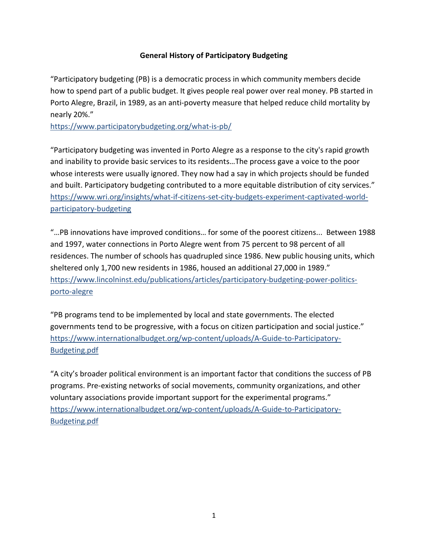## General History of Participatory Budgeting

"Participatory budgeting (PB) is a democratic process in which community members decide how to spend part of a public budget. It gives people real power over real money. PB started in Porto Alegre, Brazil, in 1989, as an anti-poverty measure that helped reduce child mortality by nearly 20%."

https://www.participatorybudgeting.org/what-is-pb/

"Participatory budgeting was invented in Porto Alegre as a response to the city's rapid growth and inability to provide basic services to its residents…The process gave a voice to the poor whose interests were usually ignored. They now had a say in which projects should be funded and built. Participatory budgeting contributed to a more equitable distribution of city services." https://www.wri.org/insights/what-if-citizens-set-city-budgets-experiment-captivated-worldparticipatory-budgeting

"…PB innovations have improved conditions… for some of the poorest citizens... Between 1988 and 1997, water connections in Porto Alegre went from 75 percent to 98 percent of all residences. The number of schools has quadrupled since 1986. New public housing units, which sheltered only 1,700 new residents in 1986, housed an additional 27,000 in 1989." https://www.lincolninst.edu/publications/articles/participatory-budgeting-power-politicsporto-alegre

"PB programs tend to be implemented by local and state governments. The elected governments tend to be progressive, with a focus on citizen participation and social justice." https://www.internationalbudget.org/wp-content/uploads/A-Guide-to-Participatory-Budgeting.pdf

"A city's broader political environment is an important factor that conditions the success of PB programs. Pre-existing networks of social movements, community organizations, and other voluntary associations provide important support for the experimental programs." https://www.internationalbudget.org/wp-content/uploads/A-Guide-to-Participatory-Budgeting.pdf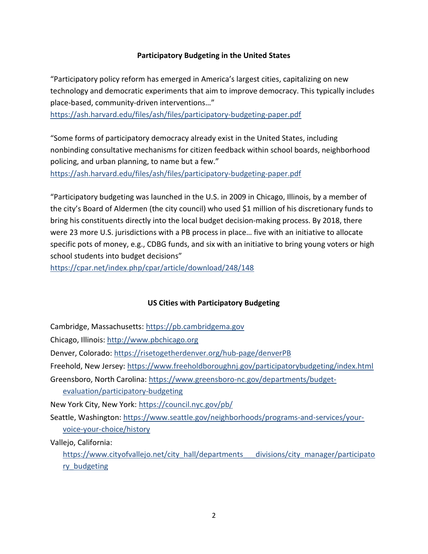#### Participatory Budgeting in the United States

"Participatory policy reform has emerged in America's largest cities, capitalizing on new technology and democratic experiments that aim to improve democracy. This typically includes place-based, community-driven interventions…"

https://ash.harvard.edu/files/ash/files/participatory-budgeting-paper.pdf

"Some forms of participatory democracy already exist in the United States, including nonbinding consultative mechanisms for citizen feedback within school boards, neighborhood policing, and urban planning, to name but a few." https://ash.harvard.edu/files/ash/files/participatory-budgeting-paper.pdf

"Participatory budgeting was launched in the U.S. in 2009 in Chicago, Illinois, by a member of the city's Board of Aldermen (the city council) who used \$1 million of his discretionary funds to bring his constituents directly into the local budget decision-making process. By 2018, there were 23 more U.S. jurisdictions with a PB process in place… five with an initiative to allocate specific pots of money, e.g., CDBG funds, and six with an initiative to bring young voters or high school students into budget decisions"

https://cpar.net/index.php/cpar/article/download/248/148

## US Cities with Participatory Budgeting

Cambridge, Massachusetts: https://pb.cambridgema.gov

Chicago, Illinois: http://www.pbchicago.org

Denver, Colorado: https://risetogetherdenver.org/hub-page/denverPB

Freehold, New Jersey: https://www.freeholdboroughnj.gov/participatorybudgeting/index.html

Greensboro, North Carolina: https://www.greensboro-nc.gov/departments/budgetevaluation/participatory-budgeting

New York City, New York: https://council.nyc.gov/pb/

Seattle, Washington: https://www.seattle.gov/neighborhoods/programs-and-services/yourvoice-your-choice/history

Vallejo, California:

https://www.cityofvallejo.net/city\_hall/departments\_\_\_divisions/city\_manager/participato ry\_budgeting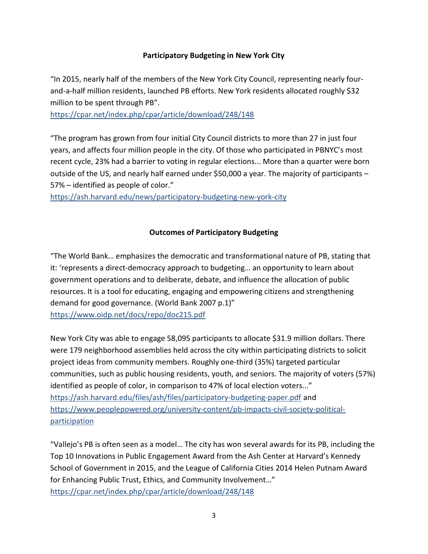## Participatory Budgeting in New York City

"In 2015, nearly half of the members of the New York City Council, representing nearly fourand-a-half million residents, launched PB efforts. New York residents allocated roughly \$32 million to be spent through PB".

https://cpar.net/index.php/cpar/article/download/248/148

"The program has grown from four initial City Council districts to more than 27 in just four years, and affects four million people in the city. Of those who participated in PBNYC's most recent cycle, 23% had a barrier to voting in regular elections... More than a quarter were born outside of the US, and nearly half earned under \$50,000 a year. The majority of participants – 57% – identified as people of color."

https://ash.harvard.edu/news/participatory-budgeting-new-york-city

# Outcomes of Participatory Budgeting

"The World Bank… emphasizes the democratic and transformational nature of PB, stating that it: 'represents a direct-democracy approach to budgeting… an opportunity to learn about government operations and to deliberate, debate, and influence the allocation of public resources. It is a tool for educating, engaging and empowering citizens and strengthening demand for good governance. (World Bank 2007 p.1)" https://www.oidp.net/docs/repo/doc215.pdf

New York City was able to engage 58,095 participants to allocate \$31.9 million dollars. There were 179 neighborhood assemblies held across the city within participating districts to solicit project ideas from community members. Roughly one-third (35%) targeted particular communities, such as public housing residents, youth, and seniors. The majority of voters (57%) identified as people of color, in comparison to 47% of local election voters..." https://ash.harvard.edu/files/ash/files/participatory-budgeting-paper.pdf and https://www.peoplepowered.org/university-content/pb-impacts-civil-society-politicalparticipation

"Vallejo's PB is often seen as a model… The city has won several awards for its PB, including the Top 10 Innovations in Public Engagement Award from the Ash Center at Harvard's Kennedy School of Government in 2015, and the League of California Cities 2014 Helen Putnam Award for Enhancing Public Trust, Ethics, and Community Involvement…" https://cpar.net/index.php/cpar/article/download/248/148